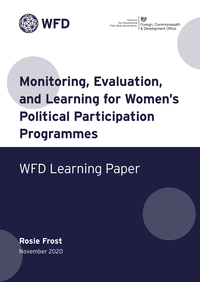

Executive Non-Departmental Foreign, Commonwealth Public Body sponsored by: & Development Office

# **Monitoring, Evaluation, and Learning for Women's Political Participation Programmes**

# WFD Learning Paper

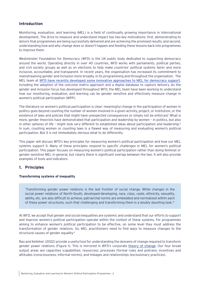# **Introduction**

Monitoring, evaluation, and learning (MEL) is a field of continually growing importance in international development. The drive to measure and understand impact has two key motivations: first, demonstrating to donors that programmes are being successfully delivered and are achieving the promised results; and second, understanding how and why change does or doesn't happen and feeding these lessons back into programmes to improve them.

Westminster Foundation for Democracy (WFD) is the UK public body dedicated to supporting democracy around the world. Operating directly in over 40 countries, WFD works with parliaments, political parties, and civil society groups as well as on elections to help make countries' political systems fairer and more inclusive, accountable, and transparent. In recent years, the organisation has increased its commitment to mainstreaming gender and inclusion more broadly, in its programming and throughout the organisation. The MEL team at WFD have recently developed some innovative approaches to MEL for democracy support, including the adoption of the outcome matrix approach and a digital database to capture delivery. As the gender and inclusion focus has developed throughout WFD, the MEL team have been working to understand how our monitoring, evaluation, and learning can be gender sensitive and effectively measure change in women's political participation (WPP).

The literature on women's political participation is clear: meaningful change in the participation of women in politics goes beyond counting the number of women involved in a given activity, project, or institution, or the existence of laws and policies that might have unexpected consequences or simply not be enforced.<sup>1</sup> What is more, gender theorists have demonstrated that participation and leadership by women – in politics, but also in other spheres of life – might look very different to established ideas about participation and leadership.2 In sum, counting women or counting laws is a flawed way of measuring and evaluating women's political participation. But it is not immediately obvious what to do differently.

This paper will discuss WFD's key principles for measuring women's political participation and how our MEL systems support it. Many of these principles respond to specific challenges in MEL for women's political participation. This paper focuses on measuring women's political participation rather than doing feminist or gender-sensitive MEL in general, but clearly there is significant overlap between the two. It will also provide examples of tools and indicators.

# **1. Principles**

# **Transforming systems of inequality**

'Transforming gender power relations is the last frontier of social change. While changes in the social power relations of North-South, developed-developing, race, class, caste, ethnicity, sexuality, ability, etc. are also difficult to achieve, patriarchal norms are embedded and normalized within each of these power structures, such that challenging and transforming them is a doubly daunting task.'3

At WFD, we accept that gender and social inequalities are systemic and understand that our efforts to support and improve women's political participation operate within the context of these systems. For programmes aiming to enhance women's political participation to be effective, on some level they must address the transformation of gender relations. So, MEL practitioners need to find ways to measure changes to the structural causes of gender equality.4

Rao and Kelleher (2002) provide a useful tool for understanding the domains of change required to transform gender power relations (Figure 1). This is mirrored in WFD's corporate theory of change. Our four broad output areas are capacities (capabilities; resources); processes (formal rules and policies); incentives and attitudes (consciousness; informal norms); and linkages and relationships (exclusionary practices).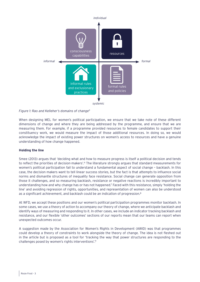

*Figure 1: Rao and Kelleher's domains of change5*

When designing MEL for women's political participation, we ensure that we take note of these different dimensions of change and where they are being addressed by the programme, and ensure that we are measuring them. For example, if a programme provided resources to female candidates to support their constituency work, we would measure the impact of those additional resources. In doing so, we would acknowledge the impact of existing power structures on women's access to resources and have a genuine understanding of how change happened.

# **Holding the line**

Smee (2013) argues that 'deciding what and how to measure progress is itself a political decision and tends to reflect the priorities of decision-makers'.6 The literature strongly argues that standard measurements for women's political participation fail to understand a fundamental aspect of social change – backlash. In this case, the decision makers want to tell linear success stories, but the fact is that attempts to influence social norms and dismantle structures of inequality face resistance. Social change can generate opposition from those it challenges, and so measuring backlash, resistance or negative reactions is incredibly important to understanding how and why change has or has not happened.7 Faced with this resistance, simply 'holding the line' and avoiding regression of rights, opportunities, and representation of women can also be understood as a significant achievement, and backlash could be an indication of progression.<sup>8</sup>

At WFD, we accept these positions and our women's political participation programmes monitor backlash. In some cases, we use a theory of action to accompany our theory of change, where we anticipate backlash and identify ways of measuring and responding to it. In other cases, we include an indicator tracking backlash and resistance, and our flexible 'other outcomes' sections of our reports mean that our teams can report when unexpected outcomes occur.

A suggestion made by the Association for Women's Rights in Development (AWID) was that programmes could develop a theory of constraints to work alongside the theory of change. The idea is not fleshed out in the article but is proposed as a tool for 'tracking the way that power structures are responding to the challenges posed by women's rights interventions'.9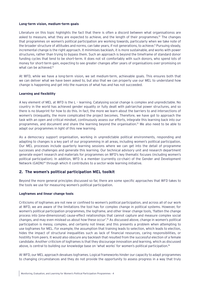#### **Long-term vision, medium-term goals**

Literature on this topic highlights the fact that there is often a discord between what organisationss are asked to measure, what they are expected to achieve, and the length of their programmes.<sup>10</sup> The changes that programmes on women's political participation are working towards, particularly when we take note of the broader structure of attitudes and norms, can take years, if not generations, to achieve.<sup>11</sup> Pursuing steady, incremental change is the right approach. It minimises backlash, it is more sustainable, and works with power structures, rather than trying to bypass them. Such an approach is beyond the timeframe of standard donor funding cycles that tend to be short-term. It does not sit comfortably with such donors, who spend lots of money for short-term gain, expecting to see greater changes after years of organisations over-promising on what can be achieved.<sup>12</sup>

At WFD, while we have a long-term vision, we set medium-term, achievable goals. This ensures both that we can deliver what we have been asked to, but also that we can properly use our MEL to understand how change is happening and get into the nuances of what has and has not succeeded.

#### **Learning and flexibility**

A key element of MEL at WFD is the L – learning. Catalysing social change is complex and unpredictable. No country in the world has achieved gender equality or fully dealt with patriarchal power structures, and so there is no blueprint for how to do this. In fact, the more we learn about the barriers to and intersections of women's (in)equality, the more complicated the project becomes. Therefore, we have got to approach the task with an open and critical mindset, continuously assess our efforts, integrate this learning back into our programmes, and document and share the learning beyond the organisation.13 We also need to be able to adapt our programmes in light of this new learning.

As a democracy support organisation, working in unpredictable political environments, responding and adapting to changes is a key part of our programming in all areas, including women's political participation. Our MEL processes include quarterly learning sessions where we can get into the detail of programme successes and challenges and generate this learning. Our technical advisory unit and research department generate expert research and materials for programmes on WFD's key thematic focuses (including women's political participation). In addition, WFD is a member (currently co-chair) of the Gender and Development Network (GADN)<sup>14</sup> through which it contributes to a sector-wide learning initiative.

# **2. The women's political participation MEL toolkit**

Beyond the more general principles discussed so far, there are some specific approaches that WFD takes to the tools we use for measuring women's political participation.

#### **Logframes and linear change tools**

Criticisms of logframes are not new or confined to women's political participation, and across all of our work at WFD, we are aware of the limitations the tool has for complex change in political systems. However, for women's political participation programmes, the logframe, and other linear change tools, 'flatten the change process into [one-dimensional] cause-effect relationships that cannot capture and measure complex social changes, and may even mislead us about how these occur'.15 As discussed above, change in women's political participation is messy, complex, and certainly not linear, and this presents a problem when attempting to use logframes for MEL. For example, the assumption that training leads to selection, which leads to election, hides the impact of structural inequalities such as lack of financial resources, caring responsibilities, or hostility from peers. It would also obscure any backlash that resulted from the successful election of a female candidate. Another criticism of logframes is that they discourage innovation and learning, which as discussed above, is central to building our knowledge base on 'what works' for women's political participation.16

At WFD, our MEL approach devalues logframes. Logical frameworks hinder our capacity to adapt programmes to changing circumstances and they do not provide the opportunity to assess progress in a way that truly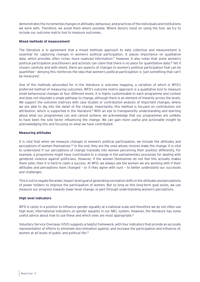demonstrates the incremental changes in attitudes, behaviour, and practices of the individuals and institutions we work with. Therefore, we avoid them where possible. Where donors insist on using the tool, we try to include our outcome matrix tool to measure outcomes.

#### **Mixed methods of measurement**

The literature is in agreement that a mixed methods approach to data collection and measurement is essential for capturing changes in women's political participation. It places importance on qualitative data, which provides often richer, more nuanced information.17 However, it also notes that some women's political participation practitioners and activists can claim that there is no place for quantitative data.<sup>18</sup> Yet if chosen carefully and with intent, there are aspects of changes to women's political participation that can be quantified – denying this reinforces the idea that women's political participation is 'just something that can't be measured'.

One of the methods advocated for in the literature is outcome mapping, a variation of which is WFD's preferred method of measuring outcomes. WFD's outcome matrix approach is a qualitative tool to measure small behavioural changes at four different levels. It is highly customisable to each programme and context and does not stipulate a single pathway to change, although there is an element of linearity across the levels. We support the outcome matrices with case studies or contribution analysis of important changes, where we are able to dig into the detail of the change. Importantly, this method is focused on contribution not attribution, which is supported in the literature.<sup>19</sup> With an eye to transparently understanding and learning about what our programmes can and cannot achieve, we acknowledge that our programmes are unlikely to have been the sole factor influencing the change. We can gain more useful and actionable insight by acknowledging this and focusing on what we have contributed.

#### **Measuring attitudes**

It is vital that when we measure changes in women's political participation, we include the attitudes and perceptions of women themselves.20 In the end, they are the ones whose choices make the change. It is vital to understand if our perceptions of change translate into women perceiving their position differently. For example, a programme might have contributed to a change in the parliamentary processes for dealing with gendered violence against politicians. However, if the women themselves do not feel this actually makes them safer, then it is hard to claim a success. At WFD, we always ask the women we are working with if their attitudes and perceptions have changed – or if they agree with ours – to better understand our successes and challenges.

This is not to negate the wider, impact-level goal of generating normative shifts in the attitudes and perceptions of power holders to improve the participation of women. But so long as this long-term goal exists, we can measure our progress towards lower-level change, in part through understanding women's perceptions.

# **High level indicators**

WFD is rarely in a position to influence gender equality at a national scale and therefore we do not often use high level, international indicators on gender equality in our MEL system. However, the literature has some useful advice about how to use these and which ones are most appropriate.<sup>21</sup>

Voluntary Service Overseas (VSO) suggests a helpful framework, with four indicators that provide an accurate representation of efforts to eliminate discrimination against, and increase the participation and influence of, women at all levels of public and political life.<sup>22</sup>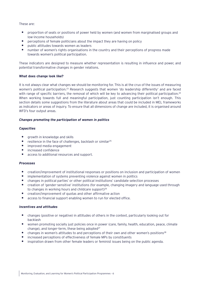#### These are:

- **•** proportion of seats or positions of power held by women (and women from marginalised groups and low-income households)
- **•** perceptions of female politicians about the impact they are having on policy
- **•** public attitudes towards women as leaders
- **•** number of women's rights organisations in the country and their perceptions of progress made towards women's political participation.

These indicators are designed to measure whether representation is resulting in influence and power, and potential transformative changes in gender relations.

#### **What does change look like?**

It is not always clear what changes we should be monitoring for. This is at the crux of the issues of measuring women's political participation.23 Research suggests that women 'do leadership differently' and are faced with range of specific barriers, the removal of which will be key to advancing their political participation.<sup>24</sup> When working towards full and meaningful participation, just counting participation isn't enough. This section details some suggestions from the literature about areas that could be included in MEL frameworks as indicators or areas of inquiry. To ensure that all dimensions of change are included, it is organised around WFD's four output areas.

#### *Changes promoting the participation of women in politics*

#### *Capacities*

- **•** growth in knowledge and skills
- **•** resilience in the face of challenges, backlash or similar25
- **•** improved media engagement
- **•** increased confidence
- **•** access to additional resources and support.

# *Processes*

- creation/improvement of institutional responses or positions on inclusion and participation of women
- **•** implementation of systems preventing violence against women in politics
- **•** changes in political parties' or other political institutions' candidate selection processes
- **•** creation of 'gender-sensitive' institutions (for example, changing imagery and language used through to changes in working hours and childcare support)<sup>26</sup>
- **•** creation/improvement of quotas and other affirmative action
- **•** access to financial support enabling women to run for elected office.

# *Incentives and attitudes*

- **•** changes (positive or negative) in attitudes of others in the context, particularly looking out for backlash
- **•** women promoting socially just policies once in power (care, family, health, education, peace, climate change), and longer-term, these being adopted<sup>27</sup>
- **•** changes in women's attitudes to and perceptions of their own and other women's positions28
- **•** increased perceptions of effectiveness of female MPs by constituents
- **•** inspiration drawn from other female leaders or feminist issues being on the public agenda.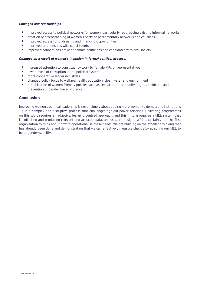#### *Linkages and relationships*

- **•** improved access to political networks for women, particularly repurposing existing informal networks
- **•** creation or strengthening of women's party or parliamentary networks and caucuses
- **•** improved access to fundraising and financing opportunities
- **•** improved relationships with constituents
- **•** improved connections between female politicians and candidates with civil society.

#### *Changes as a result of women's inclusion in formal political process:*

- **•** increased attention to constituency work by female MPs or representatives
- **•** lower levels of corruption in the political system
- **•** more cooperative leadership styles
- **•** changed policy focus to welfare, health, education, clean water and environment
- **•** prioritisation of women friendly policies such as sexual and reproductive rights, childcare, and prevention of gender-based violence.

# **Conclusion**

Improving women's political leadership is never simply about adding more women to democratic institutions - it is a complex and disruptive process that challenges age-old power relations. Delivering programmes on this topic requires an adaptive, learning-centred approach, and this in turn requires a MEL system that is collecting and producing relevant and accurate data, analysis, and insight. WFD is certainly not the first organisation to think about how to operationalise these needs. We are building on the excellent thinking that has already been done and demonstrating that we can effectively measure change by adapting our MEL to be to gender-sensitive.